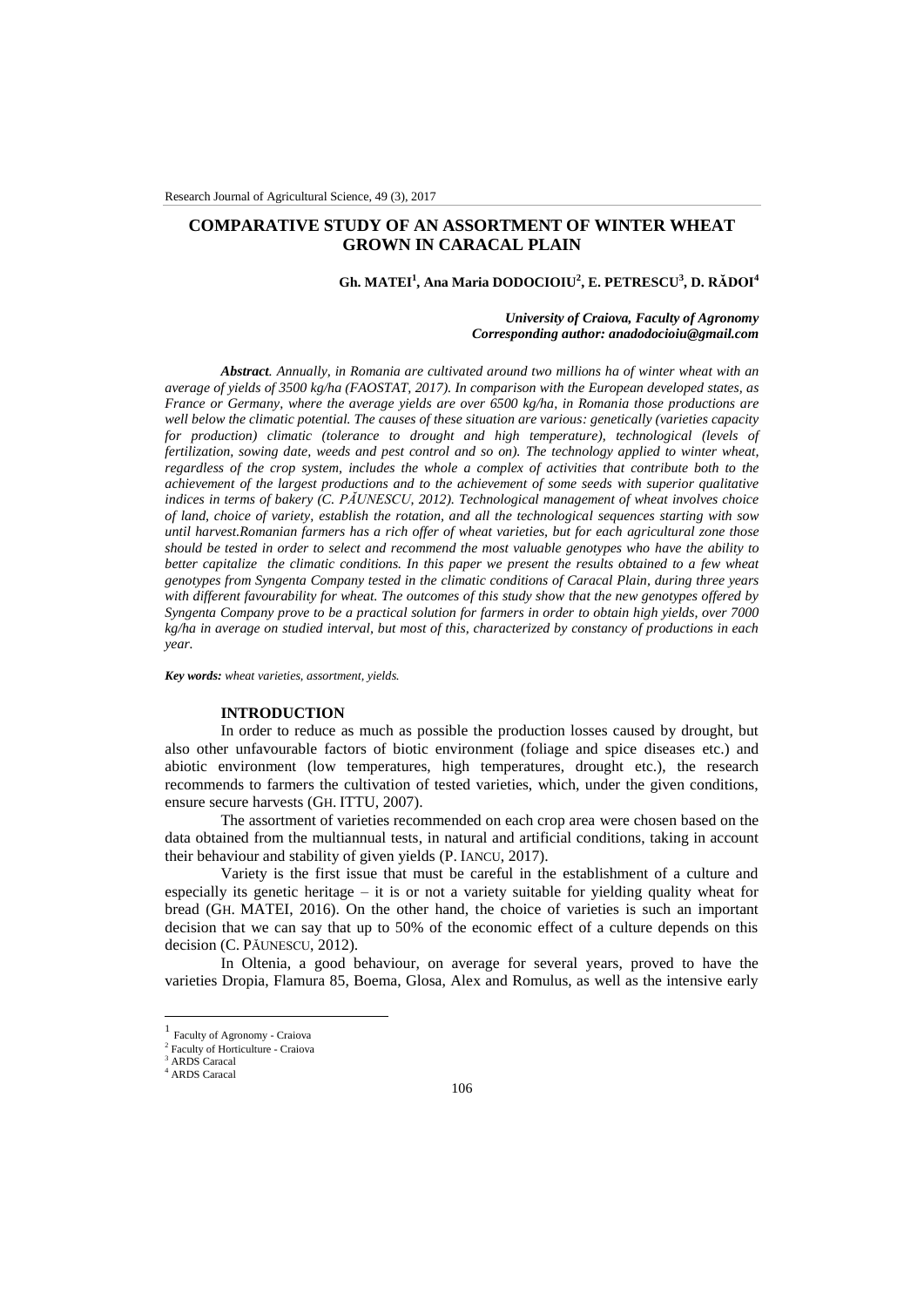# **COMPARATIVE STUDY OF AN ASSORTMENT OF WINTER WHEAT GROWN IN CARACAL PLAIN**

# **Gh. MATEI<sup>1</sup> , Ana Maria DODOCIOIU<sup>2</sup> , E. PETRESCU<sup>3</sup> , D. RĂDOI<sup>4</sup>**

*University of Craiova, Faculty of Agronomy Corresponding author: anadodocioiu@gmail.com*

*Abstract. Annually, in Romania are cultivated around two millions ha of winter wheat with an average of yields of 3500 kg/ha (FAOSTAT, 2017). In comparison with the European developed states, as France or Germany, where the average yields are over 6500 kg/ha, in Romania those productions are well below the climatic potential. The causes of these situation are various: genetically (varieties capacity for production) climatic (tolerance to drought and high temperature), technological (levels of fertilization, sowing date, weeds and pest control and so on). The technology applied to winter wheat, regardless of the crop system, includes the whole a complex of activities that contribute both to the achievement of the largest productions and to the achievement of some seeds with superior qualitative indices in terms of bakery (C. PĂUNESCU, 2012). Technological management of wheat involves choice of land, choice of variety, establish the rotation, and all the technological sequences starting with sow until harvest.Romanian farmers has a rich offer of wheat varieties, but for each agricultural zone those should be tested in order to select and recommend the most valuable genotypes who have the ability to better capitalize the climatic conditions. In this paper we present the results obtained to a few wheat genotypes from Syngenta Company tested in the climatic conditions of Caracal Plain, during three years with different favourability for wheat. The outcomes of this study show that the new genotypes offered by Syngenta Company prove to be a practical solution for farmers in order to obtain high yields, over 7000 kg/ha in average on studied interval, but most of this, characterized by constancy of productions in each year.* 

*Key words: wheat varieties, assortment, yields.*

#### **INTRODUCTION**

In order to reduce as much as possible the production losses caused by drought, but also other unfavourable factors of biotic environment (foliage and spice diseases etc.) and abiotic environment (low temperatures, high temperatures, drought etc.), the research recommends to farmers the cultivation of tested varieties, which, under the given conditions, ensure secure harvests (GH. ITTU, 2007).

The assortment of varieties recommended on each crop area were chosen based on the data obtained from the multiannual tests, in natural and artificial conditions, taking in account their behaviour and stability of given yields (P. IANCU, 2017).

Variety is the first issue that must be careful in the establishment of a culture and especially its genetic heritage  $-$  it is or not a variety suitable for yielding quality wheat for bread (GH. MATEI, 2016). On the other hand, the choice of varieties is such an important decision that we can say that up to 50% of the economic effect of a culture depends on this decision (C. PĂUNESCU, 2012).

In Oltenia, a good behaviour, on average for several years, proved to have the varieties Dropia, Flamura 85, Boema, Glosa, Alex and Romulus, as well as the intensive early

 $\overline{a}$ 

<sup>1</sup> Faculty of Agronomy - Craiova

<sup>2</sup> Faculty of Horticulture - Craiova <sup>3</sup> ARDS Caracal

<sup>4</sup> ARDS Caracal

<sup>106</sup>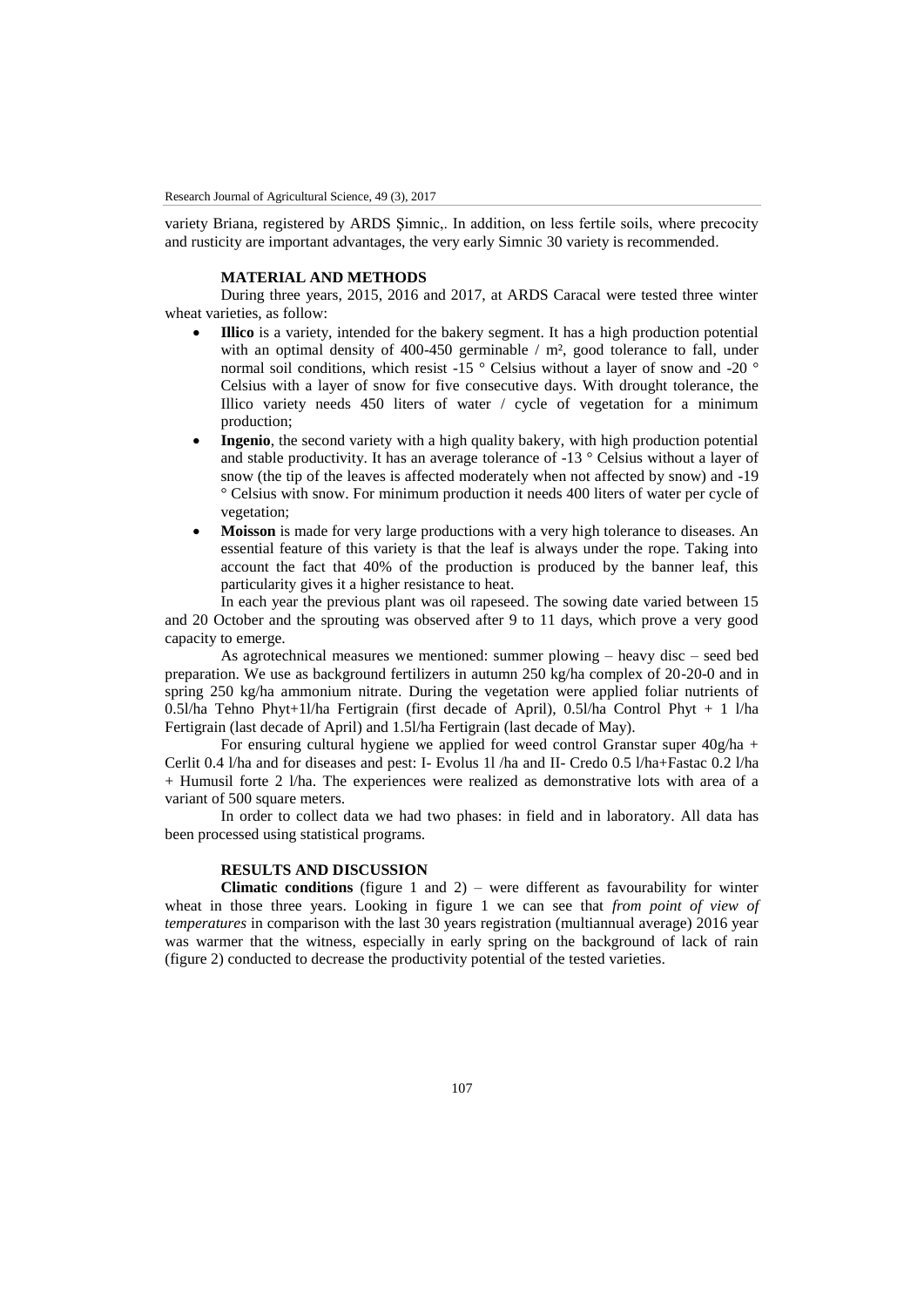variety Briana, registered by ARDS Şimnic,. In addition, on less fertile soils, where precocity and rusticity are important advantages, the very early Simnic 30 variety is recommended.

#### **MATERIAL AND METHODS**

During three years, 2015, 2016 and 2017, at ARDS Caracal were tested three winter wheat varieties, as follow:

- **Illico** is a variety, intended for the bakery segment. It has a high production potential with an optimal density of 400-450 germinable / m<sup>2</sup>, good tolerance to fall, under normal soil conditions, which resist -15  $\degree$  Celsius without a layer of snow and -20  $\degree$ Celsius with a layer of snow for five consecutive days. With drought tolerance, the Illico variety needs 450 liters of water / cycle of vegetation for a minimum production;
- **Ingenio**, the second variety with a high quality bakery, with high production potential and stable productivity. It has an average tolerance of -13 ° Celsius without a layer of snow (the tip of the leaves is affected moderately when not affected by snow) and -19 ° Celsius with snow. For minimum production it needs 400 liters of water per cycle of vegetation;
- **Moisson** is made for very large productions with a very high tolerance to diseases. An essential feature of this variety is that the leaf is always under the rope. Taking into account the fact that 40% of the production is produced by the banner leaf, this particularity gives it a higher resistance to heat.

In each year the previous plant was oil rapeseed. The sowing date varied between 15 and 20 October and the sprouting was observed after 9 to 11 days, which prove a very good capacity to emerge.

As agrotechnical measures we mentioned: summer plowing – heavy disc – seed bed preparation. We use as background fertilizers in autumn 250 kg/ha complex of 20-20-0 and in spring 250 kg/ha ammonium nitrate. During the vegetation were applied foliar nutrients of 0.5l/ha Tehno Phyt+1l/ha Fertigrain (first decade of April), 0.5l/ha Control Phyt + 1 l/ha Fertigrain (last decade of April) and 1.5l/ha Fertigrain (last decade of May).

For ensuring cultural hygiene we applied for weed control Granstar super 40g/ha + Cerlit 0.4 l/ha and for diseases and pest: I- Evolus 1l /ha and II- Credo 0.5 l/ha+Fastac 0.2 l/ha + Humusil forte 2 l/ha. The experiences were realized as demonstrative lots with area of a variant of 500 square meters.

In order to collect data we had two phases: in field and in laboratory. All data has been processed using statistical programs.

## **RESULTS AND DISCUSSION**

**Climatic conditions** (figure 1 and 2) – were different as favourability for winter wheat in those three years. Looking in figure 1 we can see that *from point of view of temperatures* in comparison with the last 30 years registration (multiannual average) 2016 year was warmer that the witness, especially in early spring on the background of lack of rain (figure 2) conducted to decrease the productivity potential of the tested varieties.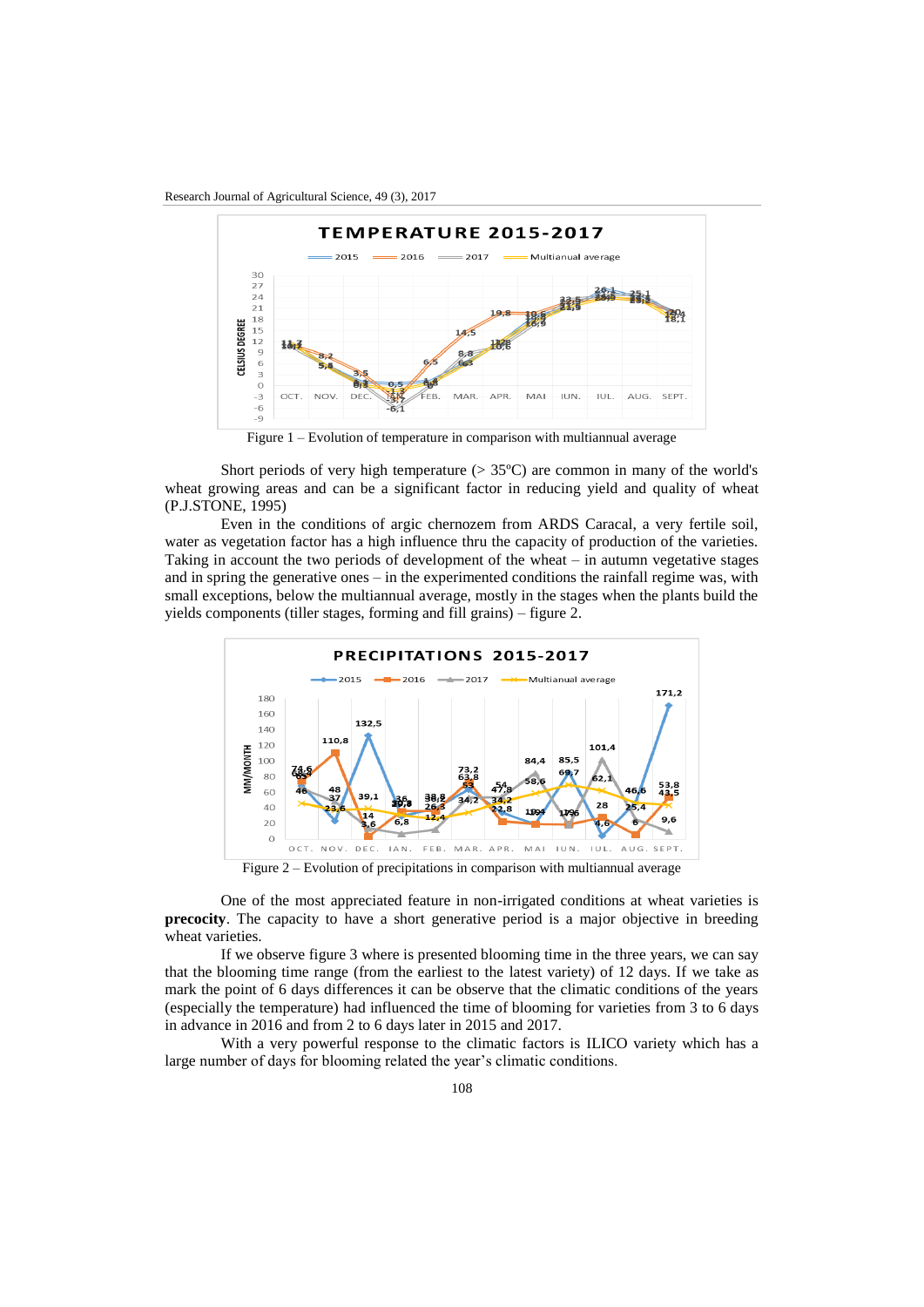Research Journal of Agricultural Science, 49 (3), 2017



Figure 1 – Evolution of temperature in comparison with multiannual average

Short periods of very high temperature  $(> 35^{\circ}C)$  are common in many of the world's wheat growing areas and can be a significant factor in reducing yield and quality of wheat (P.J.STONE, 1995)

Even in the conditions of argic chernozem from ARDS Caracal, a very fertile soil, water as vegetation factor has a high influence thru the capacity of production of the varieties. Taking in account the two periods of development of the wheat – in autumn vegetative stages and in spring the generative ones – in the experimented conditions the rainfall regime was, with small exceptions, below the multiannual average, mostly in the stages when the plants build the yields components (tiller stages, forming and fill grains) – figure 2.



Figure 2 – Evolution of precipitations in comparison with multiannual average

One of the most appreciated feature in non-irrigated conditions at wheat varieties is **precocity**. The capacity to have a short generative period is a major objective in breeding wheat varieties.

If we observe figure 3 where is presented blooming time in the three years, we can say that the blooming time range (from the earliest to the latest variety) of 12 days. If we take as mark the point of 6 days differences it can be observe that the climatic conditions of the years (especially the temperature) had influenced the time of blooming for varieties from 3 to 6 days in advance in 2016 and from 2 to 6 days later in 2015 and 2017.

With a very powerful response to the climatic factors is ILICO variety which has a large number of days for blooming related the year's climatic conditions.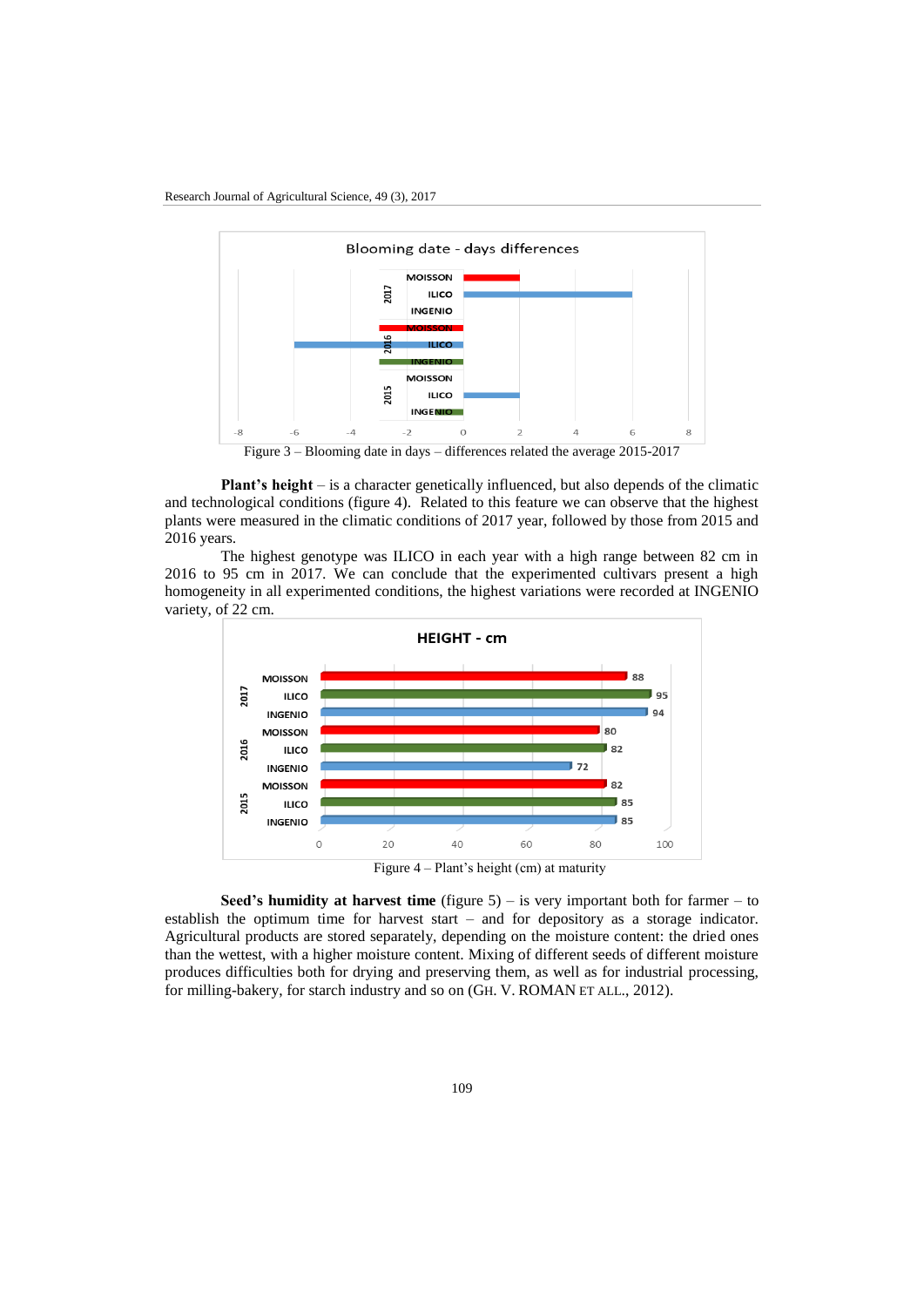

**Plant's height** – is a character genetically influenced, but also depends of the climatic and technological conditions (figure 4). Related to this feature we can observe that the highest plants were measured in the climatic conditions of 2017 year, followed by those from 2015 and 2016 years.

The highest genotype was ILICO in each year with a high range between 82 cm in 2016 to 95 cm in 2017. We can conclude that the experimented cultivars present a high homogeneity in all experimented conditions, the highest variations were recorded at INGENIO variety, of 22 cm.



**Seed's humidity at harvest time** (figure 5) – is very important both for farmer – to establish the optimum time for harvest start – and for depository as a storage indicator. Agricultural products are stored separately, depending on the moisture content: the dried ones than the wettest, with a higher moisture content. Mixing of different seeds of different moisture produces difficulties both for drying and preserving them, as well as for industrial processing, for milling-bakery, for starch industry and so on (GH. V. ROMAN ET ALL., 2012).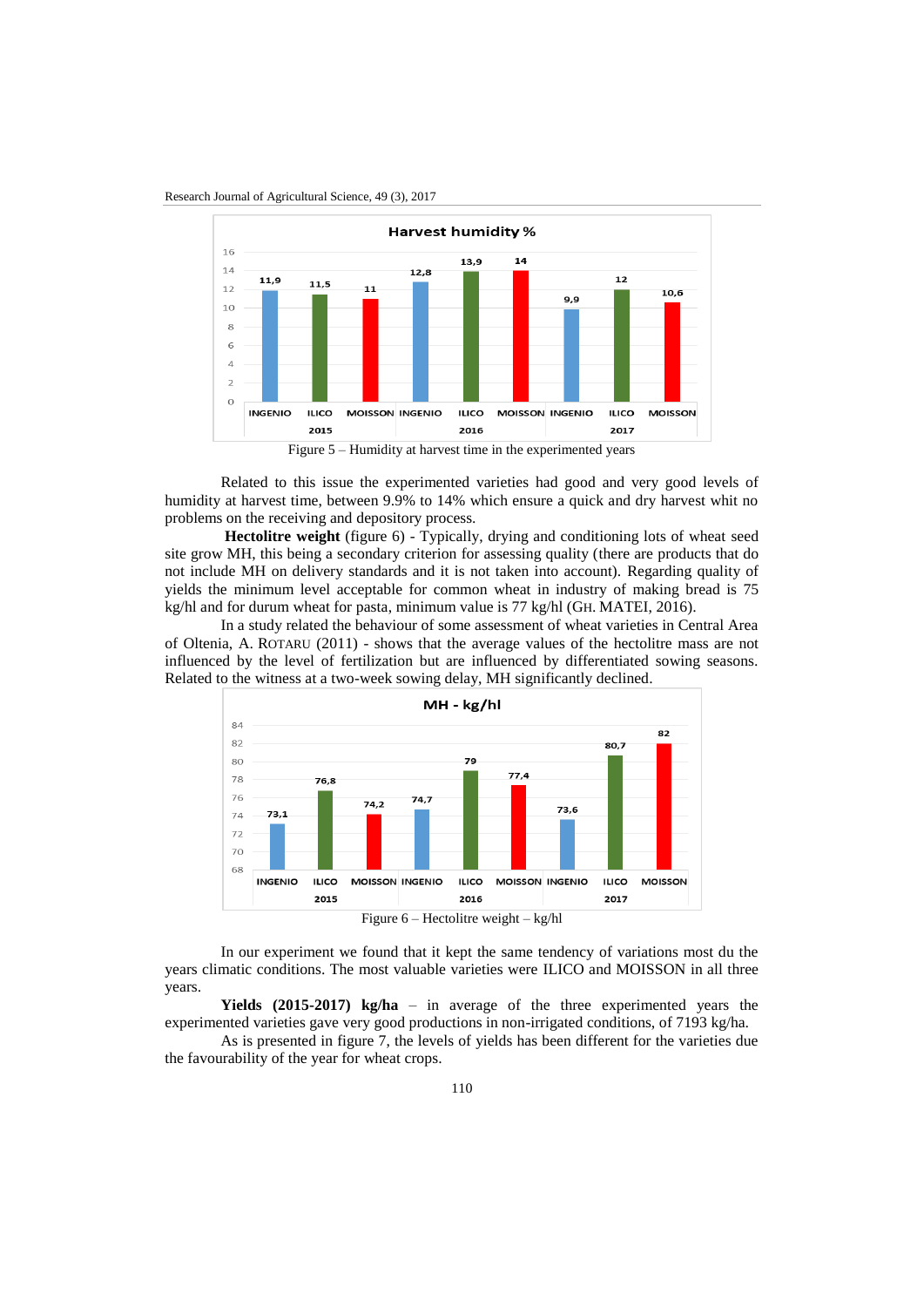



Figure 5 – Humidity at harvest time in the experimented years

Related to this issue the experimented varieties had good and very good levels of humidity at harvest time, between 9.9% to 14% which ensure a quick and dry harvest whit no problems on the receiving and depository process.

**Hectolitre weight** (figure 6) - Typically, drying and conditioning lots of wheat seed site grow MH, this being a secondary criterion for assessing quality (there are products that do not include MH on delivery standards and it is not taken into account). Regarding quality of yields the minimum level acceptable for common wheat in industry of making bread is 75 kg/hl and for durum wheat for pasta, minimum value is 77 kg/hl (GH. MATEI, 2016).

In a study related the behaviour of some assessment of wheat varieties in Central Area of Oltenia, A. ROTARU (2011) - shows that the average values of the hectolitre mass are not influenced by the level of fertilization but are influenced by differentiated sowing seasons. Related to the witness at a two-week sowing delay, MH significantly declined.



In our experiment we found that it kept the same tendency of variations most du the years climatic conditions. The most valuable varieties were ILICO and MOISSON in all three years.

**Yields (2015-2017) kg/ha** – in average of the three experimented years the experimented varieties gave very good productions in non-irrigated conditions, of 7193 kg/ha.

As is presented in figure 7, the levels of yields has been different for the varieties due the favourability of the year for wheat crops.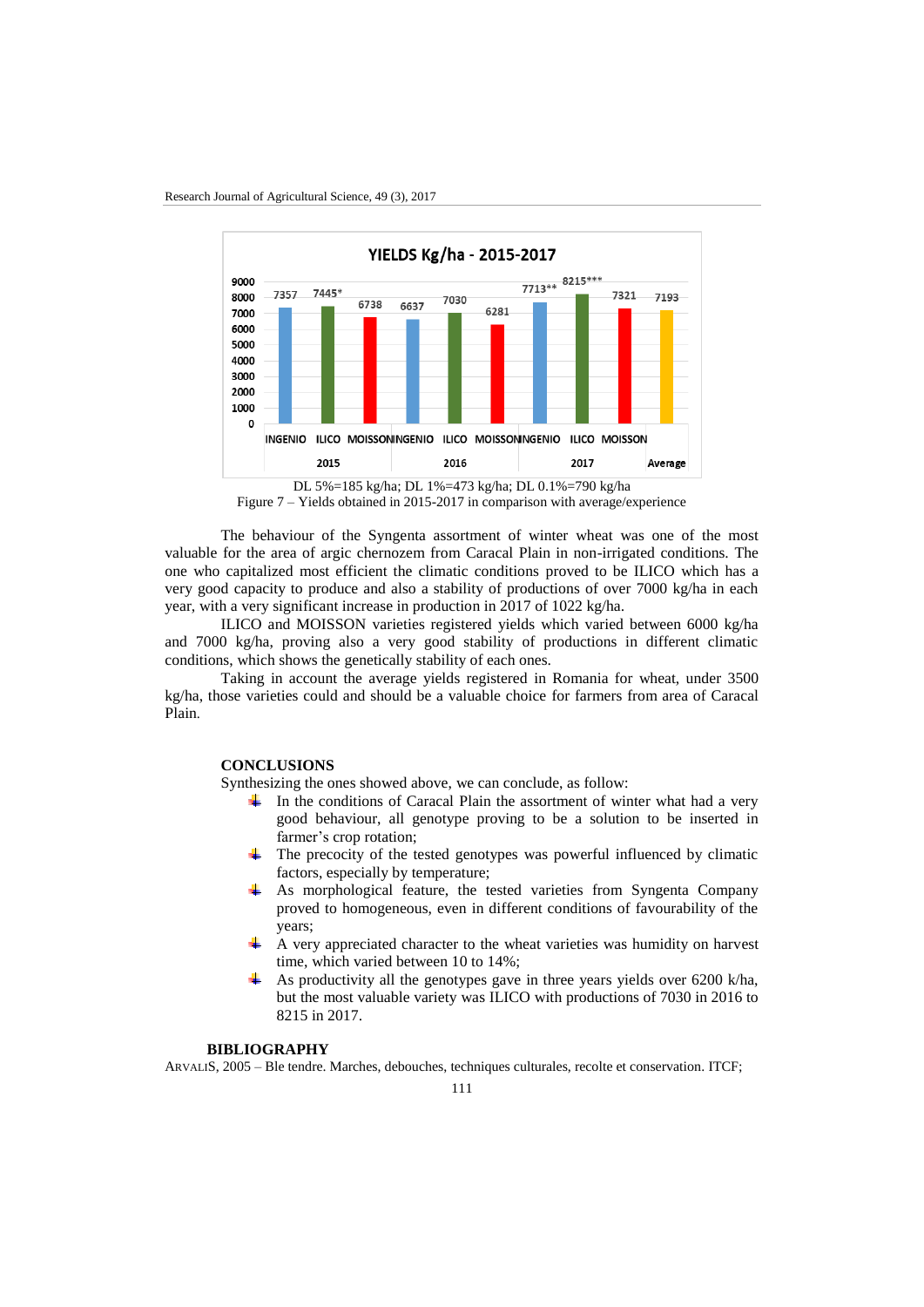

Figure 7 – Yields obtained in 2015-2017 in comparison with average/experience

The behaviour of the Syngenta assortment of winter wheat was one of the most valuable for the area of argic chernozem from Caracal Plain in non-irrigated conditions. The one who capitalized most efficient the climatic conditions proved to be ILICO which has a very good capacity to produce and also a stability of productions of over 7000 kg/ha in each year, with a very significant increase in production in 2017 of 1022 kg/ha.

ILICO and MOISSON varieties registered yields which varied between 6000 kg/ha and 7000 kg/ha, proving also a very good stability of productions in different climatic conditions, which shows the genetically stability of each ones.

Taking in account the average yields registered in Romania for wheat, under 3500 kg/ha, those varieties could and should be a valuable choice for farmers from area of Caracal Plain.

## **CONCLUSIONS**

Synthesizing the ones showed above, we can conclude, as follow:

- In the conditions of Caracal Plain the assortment of winter what had a very good behaviour, all genotype proving to be a solution to be inserted in farmer's crop rotation;
- The precocity of the tested genotypes was powerful influenced by climatic factors, especially by temperature;
- As morphological feature, the tested varieties from Syngenta Company proved to homogeneous, even in different conditions of favourability of the years;
- A very appreciated character to the wheat varieties was humidity on harvest time, which varied between 10 to 14%;
- As productivity all the genotypes gave in three years yields over 6200 k/ha, but the most valuable variety was ILICO with productions of 7030 in 2016 to 8215 in 2017.

# **BIBLIOGRAPHY**

ARVALIS, 2005 – Ble tendre. Marches, debouches, techniques culturales, recolte et conservation. ITCF;